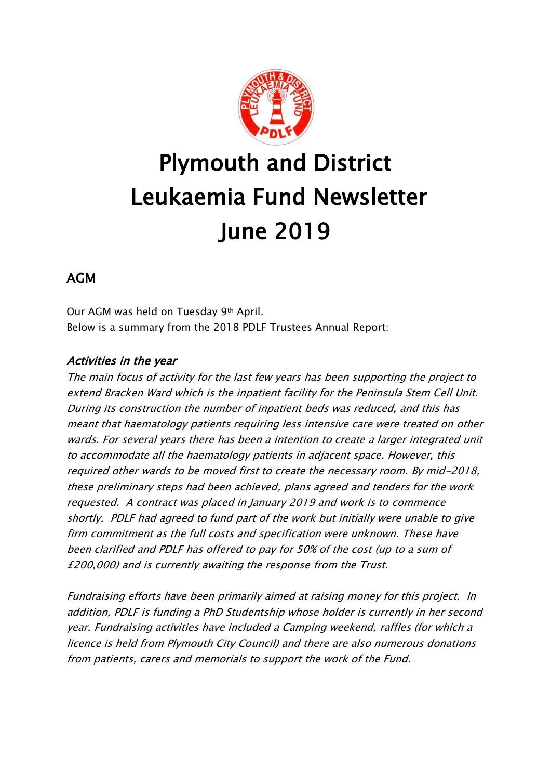

# Plymouth and District Leukaemia Fund Newsletter June 2019

# AGM

Our AGM was held on Tuesday 9th April. Below is a summary from the 2018 PDLF Trustees Annual Report:

### Activities in the year

The main focus of activity for the last few years has been supporting the project to extend Bracken Ward which is the inpatient facility for the Peninsula Stem Cell Unit. During its construction the number of inpatient beds was reduced, and this has meant that haematology patients requiring less intensive care were treated on other wards. For several years there has been a intention to create a larger integrated unit to accommodate all the haematology patients in adjacent space. However, this required other wards to be moved first to create the necessary room. By mid-2018, these preliminary steps had been achieved, plans agreed and tenders for the work requested. A contract was placed in January 2019 and work is to commence shortly. PDLF had agreed to fund part of the work but initially were unable to give firm commitment as the full costs and specification were unknown. These have been clarified and PDLF has offered to pay for 50% of the cost (up to a sum of £200,000) and is currently awaiting the response from the Trust.

Fundraising efforts have been primarily aimed at raising money for this project. In addition, PDLF is funding a PhD Studentship whose holder is currently in her second year. Fundraising activities have included a Camping weekend, raffles (for which a licence is held from Plymouth City Council) and there are also numerous donations from patients, carers and memorials to support the work of the Fund.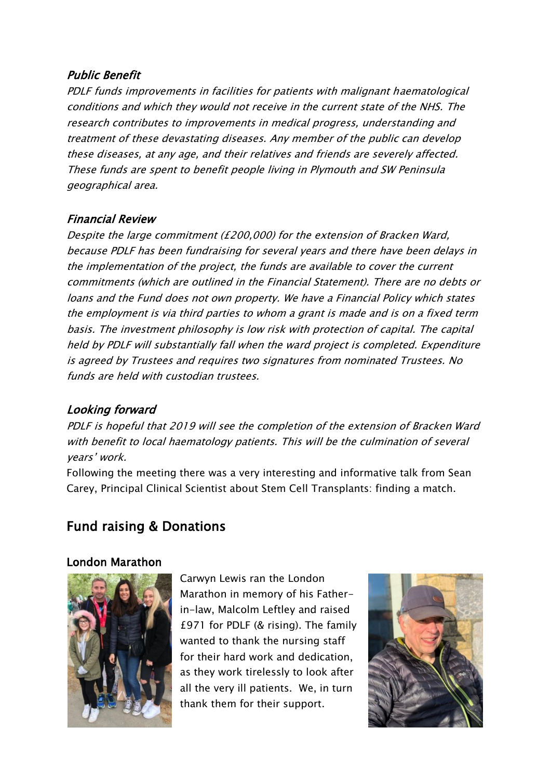#### Public Benefit

PDLF funds improvements in facilities for patients with malignant haematological conditions and which they would not receive in the current state of the NHS. The research contributes to improvements in medical progress, understanding and treatment of these devastating diseases. Any member of the public can develop these diseases, at any age, and their relatives and friends are severely affected. These funds are spent to benefit people living in Plymouth and SW Peninsula geographical area.

#### Financial Review

Despite the large commitment (£200,000) for the extension of Bracken Ward, because PDLF has been fundraising for several years and there have been delays in the implementation of the project, the funds are available to cover the current commitments (which are outlined in the Financial Statement). There are no debts or loans and the Fund does not own property. We have a Financial Policy which states the employment is via third parties to whom a grant is made and is on a fixed term basis. The investment philosophy is low risk with protection of capital. The capital held by PDLF will substantially fall when the ward project is completed. Expenditure is agreed by Trustees and requires two signatures from nominated Trustees. No funds are held with custodian trustees.

#### Looking forward

PDLF is hopeful that 2019 will see the completion of the extension of Bracken Ward with benefit to local haematology patients. This will be the culmination of several years' work.

Following the meeting there was a very interesting and informative talk from Sean Carey, Principal Clinical Scientist about Stem Cell Transplants: finding a match.

# Fund raising & Donations

#### London Marathon



Carwyn Lewis ran the London Marathon in memory of his Fatherin-law, Malcolm Leftley and raised £971 for PDLF (& rising). The family wanted to thank the nursing staff for their hard work and dedication, as they work tirelessly to look after all the very ill patients. We, in turn thank them for their support.

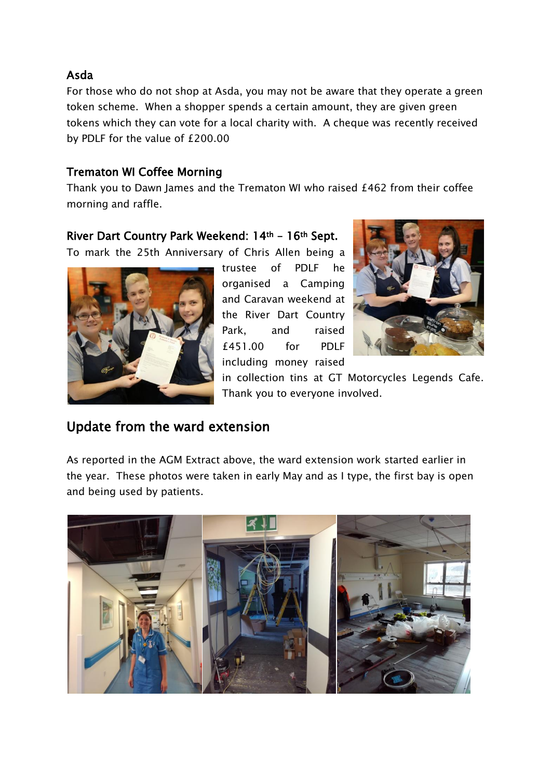#### Asda

For those who do not shop at Asda, you may not be aware that they operate a green token scheme. When a shopper spends a certain amount, they are given green tokens which they can vote for a local charity with. A cheque was recently received by PDLF for the value of £200.00

#### Trematon WI Coffee Morning

Thank you to Dawn James and the Trematon WI who raised £462 from their coffee morning and raffle.

#### River Dart Country Park Weekend: 14th – 16th Sept.

To mark the 25th Anniversary of Chris Allen being a



trustee of PDLF he organised a Camping and Caravan weekend at the River Dart Country Park, and raised £451.00 for PDLF including money raised



in collection tins at GT Motorcycles Legends Cafe. Thank you to everyone involved.

## Update from the ward extension

As reported in the AGM Extract above, the ward extension work started earlier in the year. These photos were taken in early May and as I type, the first bay is open and being used by patients.

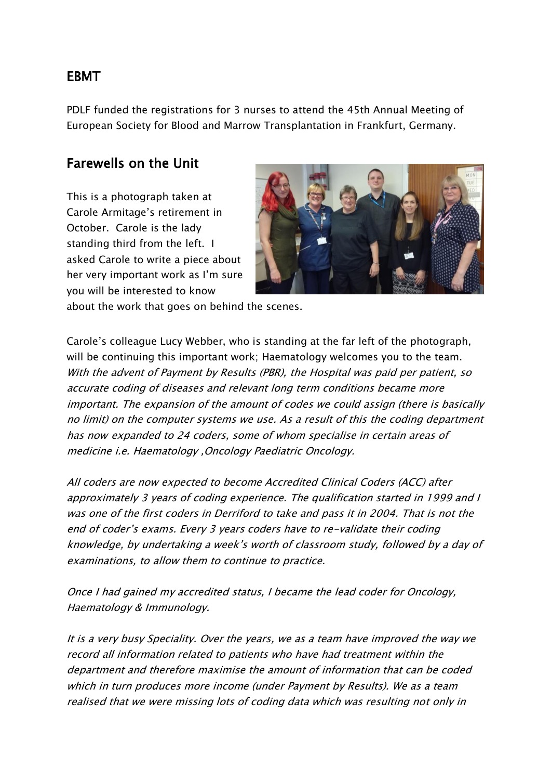## EBMT

PDLF funded the registrations for 3 nurses to attend the 45th Annual Meeting of European Society for Blood and Marrow Transplantation in Frankfurt, Germany.

# Farewells on the Unit

This is a photograph taken at Carole Armitage's retirement in October. Carole is the lady standing third from the left. I asked Carole to write a piece about her very important work as I'm sure you will be interested to know



about the work that goes on behind the scenes.

Carole's colleague Lucy Webber, who is standing at the far left of the photograph, will be continuing this important work; Haematology welcomes you to the team. With the advent of Payment by Results (PBR), the Hospital was paid per patient, so accurate coding of diseases and relevant long term conditions became more important. The expansion of the amount of codes we could assign (there is basically no limit) on the computer systems we use. As a result of this the coding department has now expanded to 24 coders, some of whom specialise in certain areas of medicine i.e. Haematology ,Oncology Paediatric Oncology.

All coders are now expected to become Accredited Clinical Coders (ACC) after approximately 3 years of coding experience. The qualification started in 1999 and I was one of the first coders in Derriford to take and pass it in 2004. That is not the end of coder's exams. Every 3 years coders have to re-validate their coding knowledge, by undertaking a week's worth of classroom study, followed by a day of examinations, to allow them to continue to practice.

Once I had gained my accredited status, I became the lead coder for Oncology, Haematology & Immunology.

It is a very busy Speciality. Over the years, we as a team have improved the way we record all information related to patients who have had treatment within the department and therefore maximise the amount of information that can be coded which in turn produces more income (under Payment by Results). We as a team realised that we were missing lots of coding data which was resulting not only in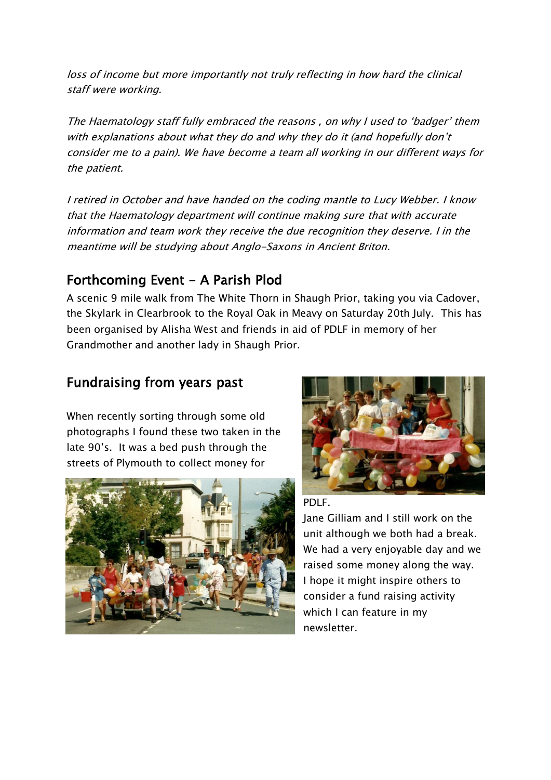loss of income but more importantly not truly reflecting in how hard the clinical staff were working.

The Haematology staff fully embraced the reasons , on why I used to 'badger' them with explanations about what they do and why they do it (and hopefully don't consider me to a pain). We have become a team all working in our different ways for the patient.

I retired in October and have handed on the coding mantle to Lucy Webber. I know that the Haematology department will continue making sure that with accurate information and team work they receive the due recognition they deserve. I in the meantime will be studying about Anglo-Saxons in Ancient Briton.

# Forthcoming Event - A Parish Plod

A scenic 9 mile walk from The White Thorn in Shaugh Prior, taking you via Cadover, the Skylark in Clearbrook to the Royal Oak in Meavy on Saturday 20th July. This has been organised by Alisha West and friends in aid of PDLF in memory of her Grandmother and another lady in Shaugh Prior.

# Fundraising from years past

When recently sorting through some old photographs I found these two taken in the late 90's. It was a bed push through the streets of Plymouth to collect money for





PDLF.

Jane Gilliam and I still work on the unit although we both had a break. We had a very enjoyable day and we raised some money along the way. I hope it might inspire others to consider a fund raising activity which I can feature in my newsletter.